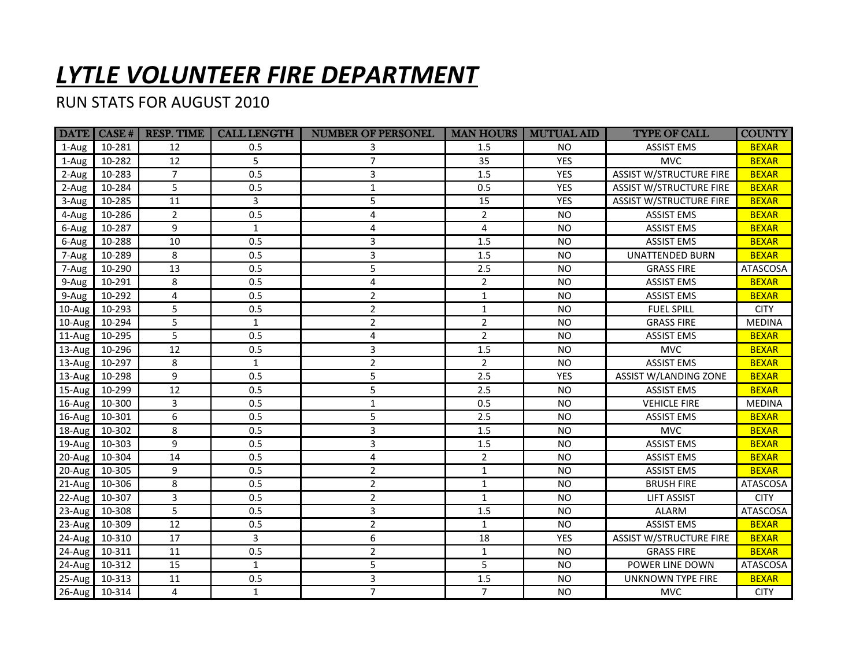## *LYTLE VOLUNTEER FIRE DEPARTMENT*

## RUN STATS FOR AUGUST 2010

|                 |        | $\vert$ DATE $\vert$ CASE # $\vert$ RESP. TIME | <b>CALL LENGTH</b> | <b>NUMBER OF PERSONEL</b> | <b>MAN HOURS</b> | <b>MUTUAL AID</b> | <b>TYPE OF CALL</b>            | <b>COUNTY</b>   |
|-----------------|--------|------------------------------------------------|--------------------|---------------------------|------------------|-------------------|--------------------------------|-----------------|
| 1-Aug           | 10-281 | 12                                             | 0.5                |                           | 1.5              | NO.               | <b>ASSIST EMS</b>              | <b>BEXAR</b>    |
| 1-Aug           | 10-282 | 12                                             | 5                  | $\overline{7}$            | 35               | <b>YES</b>        | <b>MVC</b>                     | <b>BEXAR</b>    |
| 2-Aug           | 10-283 | $7^{\circ}$                                    | 0.5                | 3                         | 1.5              | <b>YES</b>        | <b>ASSIST W/STRUCTURE FIRE</b> | <b>BEXAR</b>    |
| 2-Aug           | 10-284 | 5                                              | 0.5                | $\mathbf 1$               | 0.5              | <b>YES</b>        | <b>ASSIST W/STRUCTURE FIRE</b> | <b>BEXAR</b>    |
| 3-Aug           | 10-285 | 11                                             | 3                  | 5                         | 15               | <b>YES</b>        | <b>ASSIST W/STRUCTURE FIRE</b> | <b>BEXAR</b>    |
| 4-Aug           | 10-286 | $\overline{2}$                                 | 0.5                | 4                         | 2                | <b>NO</b>         | <b>ASSIST EMS</b>              | <b>BEXAR</b>    |
| 6-Aug           | 10-287 | 9                                              | $\mathbf{1}$       | 4                         | 4                | <b>NO</b>         | <b>ASSIST EMS</b>              | <b>BEXAR</b>    |
| 6-Aug           | 10-288 | 10                                             | 0.5                | 3                         | 1.5              | <b>NO</b>         | <b>ASSIST EMS</b>              | <b>BEXAR</b>    |
| 7-Aug           | 10-289 | 8                                              | 0.5                | 3                         | 1.5              | <b>NO</b>         | <b>UNATTENDED BURN</b>         | <b>BEXAR</b>    |
| 7-Aug           | 10-290 | 13                                             | 0.5                | 5                         | 2.5              | <b>NO</b>         | <b>GRASS FIRE</b>              | <b>ATASCOSA</b> |
| 9-Aug           | 10-291 | 8                                              | 0.5                | 4                         | $\overline{2}$   | <b>NO</b>         | <b>ASSIST EMS</b>              | <b>BEXAR</b>    |
| $9 - Aug$       | 10-292 | 4                                              | 0.5                | $\overline{2}$            | $\mathbf{1}$     | N <sub>O</sub>    | <b>ASSIST EMS</b>              | <b>BEXAR</b>    |
| $10$ -Aug       | 10-293 | 5                                              | 0.5                | $\overline{2}$            | $\mathbf{1}$     | <b>NO</b>         | <b>FUEL SPILL</b>              | <b>CITY</b>     |
| $10-Aug$ 10-294 |        | 5                                              | $\mathbf{1}$       | $\overline{2}$            | $\overline{2}$   | <b>NO</b>         | <b>GRASS FIRE</b>              | <b>MEDINA</b>   |
| $ 11$ -Aug      | 10-295 | 5                                              | 0.5                | 4                         | $\overline{2}$   | <b>NO</b>         | <b>ASSIST EMS</b>              | <b>BEXAR</b>    |
| $ 13 - Aug $    | 10-296 | 12                                             | 0.5                | 3                         | 1.5              | <b>NO</b>         | <b>MVC</b>                     | <b>BEXAR</b>    |
| $ 13 - Aug $    | 10-297 | 8                                              | $\mathbf{1}$       | $\overline{2}$            | $\overline{2}$   | <b>NO</b>         | <b>ASSIST EMS</b>              | <b>BEXAR</b>    |
| $13-Aug$        | 10-298 | 9                                              | 0.5                | 5                         | 2.5              | <b>YES</b>        | <b>ASSIST W/LANDING ZONE</b>   | <b>BEXAR</b>    |
| $15-Aug$        | 10-299 | 12                                             | 0.5                | 5                         | 2.5              | <b>NO</b>         | <b>ASSIST EMS</b>              | <b>BEXAR</b>    |
| $16$ -Aug       | 10-300 | 3                                              | 0.5                | $\mathbf{1}$              | 0.5              | <b>NO</b>         | <b>VEHICLE FIRE</b>            | <b>MEDINA</b>   |
| $16$ -Aug       | 10-301 | 6                                              | 0.5                | 5                         | 2.5              | <b>NO</b>         | <b>ASSIST EMS</b>              | <b>BEXAR</b>    |
| 18-Aug 10-302   |        | 8                                              | 0.5                | 3                         | 1.5              | N <sub>O</sub>    | <b>MVC</b>                     | <b>BEXAR</b>    |
| $19$ -Aug       | 10-303 | 9                                              | 0.5                | 3                         | 1.5              | <b>NO</b>         | <b>ASSIST EMS</b>              | <b>BEXAR</b>    |
| $20$ -Aug       | 10-304 | 14                                             | 0.5                | $\overline{\mathbf{4}}$   | $\overline{2}$   | <b>NO</b>         | <b>ASSIST EMS</b>              | <b>BEXAR</b>    |
| $20-Aug$        | 10-305 | 9                                              | 0.5                | $\overline{2}$            | $\mathbf{1}$     | <b>NO</b>         | <b>ASSIST EMS</b>              | <b>BEXAR</b>    |
| $21-Aug$        | 10-306 | 8                                              | 0.5                | $\overline{2}$            | $\mathbf{1}$     | <b>NO</b>         | <b>BRUSH FIRE</b>              | <b>ATASCOSA</b> |
| $22$ -Aug       | 10-307 | 3                                              | 0.5                | $\overline{2}$            | $\mathbf{1}$     | <b>NO</b>         | <b>LIFT ASSIST</b>             | <b>CITY</b>     |
| $23$ -Aug       | 10-308 | 5                                              | 0.5                | 3                         | 1.5              | <b>NO</b>         | ALARM                          | ATASCOSA        |
| $23$ -Aug       | 10-309 | 12                                             | 0.5                | $\overline{2}$            | $\mathbf{1}$     | <b>NO</b>         | <b>ASSIST EMS</b>              | <b>BEXAR</b>    |
| $24-Aug$        | 10-310 | 17                                             | 3                  | 6                         | 18               | <b>YES</b>        | <b>ASSIST W/STRUCTURE FIRE</b> | <b>BEXAR</b>    |
| $24-Aug$        | 10-311 | 11                                             | 0.5                | $\overline{2}$            | $\mathbf{1}$     | <b>NO</b>         | <b>GRASS FIRE</b>              | <b>BEXAR</b>    |
| 24-Aug          | 10-312 | 15                                             | $\mathbf{1}$       | $\overline{5}$            | 5                | <b>NO</b>         | POWER LINE DOWN                | ATASCOSA        |
| $25-Aug$        | 10-313 | 11                                             | 0.5                | 3                         | 1.5              | <b>NO</b>         | <b>UNKNOWN TYPE FIRE</b>       | <b>BEXAR</b>    |
| 26-Aug 10-314   |        | 4                                              | $\mathbf{1}$       | $\overline{7}$            | $\overline{7}$   | <b>NO</b>         | <b>MVC</b>                     | <b>CITY</b>     |